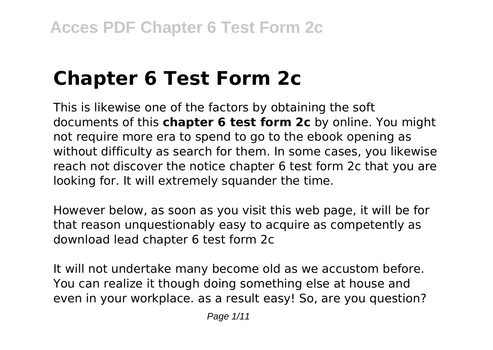# **Chapter 6 Test Form 2c**

This is likewise one of the factors by obtaining the soft documents of this **chapter 6 test form 2c** by online. You might not require more era to spend to go to the ebook opening as without difficulty as search for them. In some cases, you likewise reach not discover the notice chapter 6 test form 2c that you are looking for. It will extremely squander the time.

However below, as soon as you visit this web page, it will be for that reason unquestionably easy to acquire as competently as download lead chapter 6 test form 2c

It will not undertake many become old as we accustom before. You can realize it though doing something else at house and even in your workplace. as a result easy! So, are you question?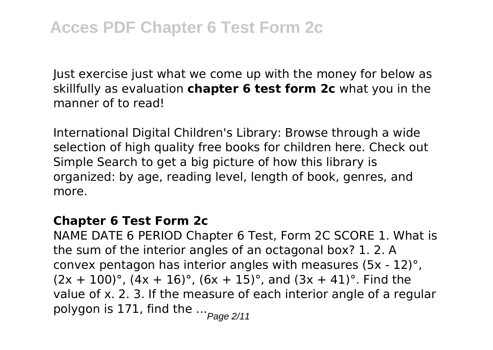Just exercise just what we come up with the money for below as skillfully as evaluation **chapter 6 test form 2c** what you in the manner of to read!

International Digital Children's Library: Browse through a wide selection of high quality free books for children here. Check out Simple Search to get a big picture of how this library is organized: by age, reading level, length of book, genres, and more.

#### **Chapter 6 Test Form 2c**

NAME DATE 6 PERIOD Chapter 6 Test, Form 2C SCORE 1. What is the sum of the interior angles of an octagonal box? 1. 2. A convex pentagon has interior angles with measures (5x - 12)°,  $(2x + 100)$ °,  $(4x + 16)$ °,  $(6x + 15)$ °, and  $(3x + 41)$ °. Find the value of x. 2. 3. If the measure of each interior angle of a regular polygon is 171, find the  $\frac{P_{\text{edge 211}}}{P_{\text{edge 211}}}$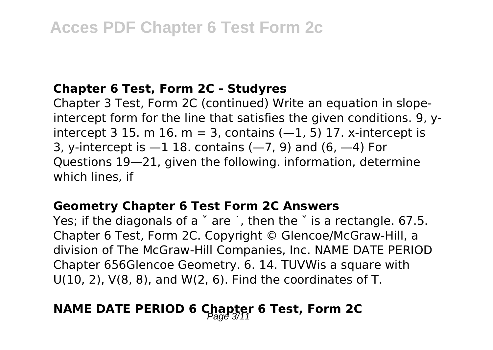#### **Chapter 6 Test, Form 2C - Studyres**

Chapter 3 Test, Form 2C (continued) Write an equation in slopeintercept form for the line that satisfies the given conditions. 9, yintercept 3 15, m 16, m = 3, contains  $(-1, 5)$  17, x-intercept is 3, y-intercept is  $-1$  18. contains ( $-7$ , 9) and (6,  $-4$ ) For Questions 19—21, given the following. information, determine which lines, if

#### **Geometry Chapter 6 Test Form 2C Answers**

Yes; if the diagonals of a ˇ are ˙, then the ˇ is a rectangle. 67.5. Chapter 6 Test, Form 2C. Copyright © Glencoe/McGraw-Hill, a division of The McGraw-Hill Companies, Inc. NAME DATE PERIOD Chapter 656Glencoe Geometry. 6. 14. TUVWis a square with U(10, 2), V(8, 8), and W(2, 6). Find the coordinates of T.

## **NAME DATE PERIOD 6 Chapter 6 Test, Form 2C**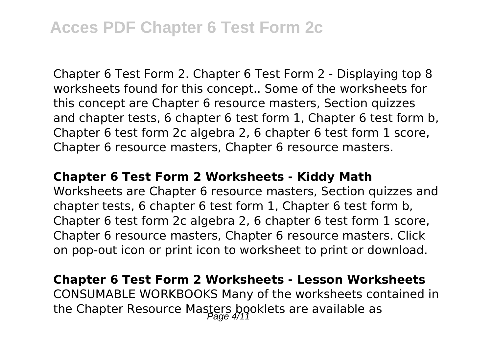## **Acces PDF Chapter 6 Test Form 2c**

Chapter 6 Test Form 2. Chapter 6 Test Form 2 - Displaying top 8 worksheets found for this concept.. Some of the worksheets for this concept are Chapter 6 resource masters, Section quizzes and chapter tests, 6 chapter 6 test form 1, Chapter 6 test form b, Chapter 6 test form 2c algebra 2, 6 chapter 6 test form 1 score, Chapter 6 resource masters, Chapter 6 resource masters.

#### **Chapter 6 Test Form 2 Worksheets - Kiddy Math**

Worksheets are Chapter 6 resource masters, Section quizzes and chapter tests, 6 chapter 6 test form 1, Chapter 6 test form b, Chapter 6 test form 2c algebra 2, 6 chapter 6 test form 1 score, Chapter 6 resource masters, Chapter 6 resource masters. Click on pop-out icon or print icon to worksheet to print or download.

### **Chapter 6 Test Form 2 Worksheets - Lesson Worksheets** CONSUMABLE WORKBOOKS Many of the worksheets contained in the Chapter Resource Masters booklets are available as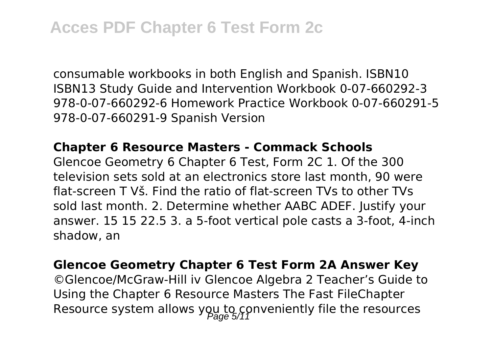consumable workbooks in both English and Spanish. ISBN10 ISBN13 Study Guide and Intervention Workbook 0-07-660292-3 978-0-07-660292-6 Homework Practice Workbook 0-07-660291-5 978-0-07-660291-9 Spanish Version

#### **Chapter 6 Resource Masters - Commack Schools**

Glencoe Geometry 6 Chapter 6 Test, Form 2C 1. Of the 300 television sets sold at an electronics store last month, 90 were flat-screen T Vš. Find the ratio of flat-screen TVs to other TVs sold last month. 2. Determine whether AABC ADEF. Justify your answer. 15 15 22.5 3. a 5-foot vertical pole casts a 3-foot, 4-inch shadow, an

#### **Glencoe Geometry Chapter 6 Test Form 2A Answer Key**

©Glencoe/McGraw-Hill iv Glencoe Algebra 2 Teacher's Guide to Using the Chapter 6 Resource Masters The Fast FileChapter Resource system allows you to conveniently file the resources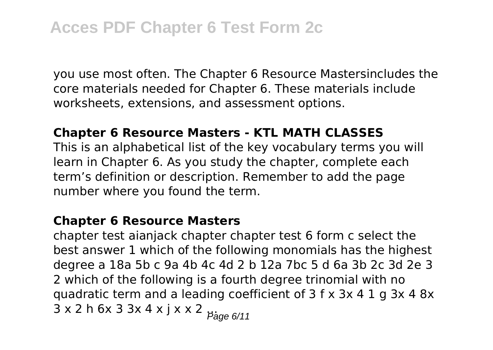you use most often. The Chapter 6 Resource Mastersincludes the core materials needed for Chapter 6. These materials include worksheets, extensions, and assessment options.

#### **Chapter 6 Resource Masters - KTL MATH CLASSES**

This is an alphabetical list of the key vocabulary terms you will learn in Chapter 6. As you study the chapter, complete each term's definition or description. Remember to add the page number where you found the term.

#### **Chapter 6 Resource Masters**

chapter test aianjack chapter chapter test 6 form c select the best answer 1 which of the following monomials has the highest degree a 18a 5b c 9a 4b 4c 4d 2 b 12a 7bc 5 d 6a 3b 2c 3d 2e 3 2 which of the following is a fourth degree trinomial with no quadratic term and a leading coefficient of 3 f x 3x 4 1 g 3x 4 8x  $3 \times 2$  h 6x 3 3x 4 x j x x 2  $\frac{1}{2}$   $\frac{1}{2}$   $\frac{1}{2}$   $\frac{1}{2}$   $\frac{1}{2}$   $\frac{1}{2}$   $\frac{1}{2}$   $\frac{1}{2}$   $\frac{1}{2}$   $\frac{1}{2}$   $\frac{1}{2}$   $\frac{1}{2}$   $\frac{1}{2}$   $\frac{1}{2}$   $\frac{1}{2}$   $\frac{1}{2}$   $\frac{1}{2}$   $\frac{1}{2}$   $\frac{1}{2}$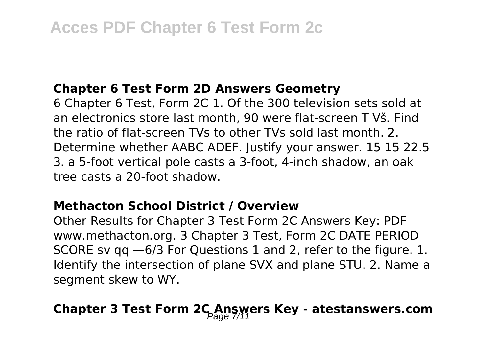#### **Chapter 6 Test Form 2D Answers Geometry**

6 Chapter 6 Test, Form 2C 1. Of the 300 television sets sold at an electronics store last month, 90 were flat-screen T Vš. Find the ratio of flat-screen TVs to other TVs sold last month. 2. Determine whether AABC ADEF. Justify your answer. 15 15 22.5 3. a 5-foot vertical pole casts a 3-foot, 4-inch shadow, an oak tree casts a 20-foot shadow.

#### **Methacton School District / Overview**

Other Results for Chapter 3 Test Form 2C Answers Key: PDF www.methacton.org. 3 Chapter 3 Test, Form 2C DATE PERIOD SCORE sv qq —6/3 For Questions 1 and 2, refer to the figure. 1. Identify the intersection of plane SVX and plane STU. 2. Name a segment skew to WY.

## Chapter 3 Test Form 2C Answers Key - atestanswers.com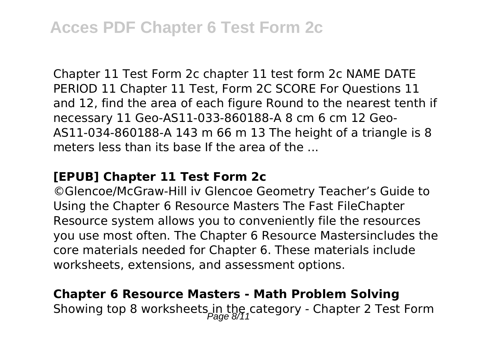Chapter 11 Test Form 2c chapter 11 test form 2c NAME DATE PERIOD 11 Chapter 11 Test, Form 2C SCORE For Questions 11 and 12, find the area of each figure Round to the nearest tenth if necessary 11 Geo-AS11-033-860188-A 8 cm 6 cm 12 Geo-AS11-034-860188-A 143 m 66 m 13 The height of a triangle is 8 meters less than its base If the area of the ...

#### **[EPUB] Chapter 11 Test Form 2c**

©Glencoe/McGraw-Hill iv Glencoe Geometry Teacher's Guide to Using the Chapter 6 Resource Masters The Fast FileChapter Resource system allows you to conveniently file the resources you use most often. The Chapter 6 Resource Mastersincludes the core materials needed for Chapter 6. These materials include worksheets, extensions, and assessment options.

## **Chapter 6 Resource Masters - Math Problem Solving** Showing top 8 worksheets in the category - Chapter 2 Test Form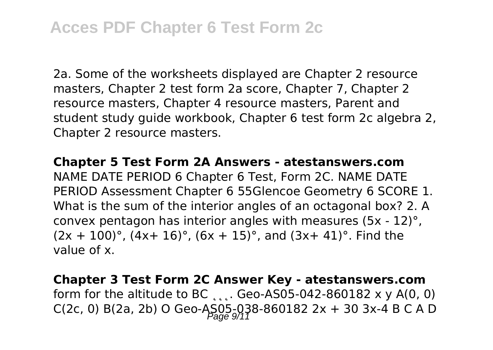2a. Some of the worksheets displayed are Chapter 2 resource masters, Chapter 2 test form 2a score, Chapter 7, Chapter 2 resource masters, Chapter 4 resource masters, Parent and student study guide workbook, Chapter 6 test form 2c algebra 2, Chapter 2 resource masters.

**Chapter 5 Test Form 2A Answers - atestanswers.com** NAME DATE PERIOD 6 Chapter 6 Test, Form 2C. NAME DATE PERIOD Assessment Chapter 6 55Glencoe Geometry 6 SCORE 1. What is the sum of the interior angles of an octagonal box? 2. A convex pentagon has interior angles with measures (5x - 12)°,  $(2x + 100)$ °,  $(4x + 16)$ °,  $(6x + 15)$ °, and  $(3x + 41)$ °. Find the value of x.

**Chapter 3 Test Form 2C Answer Key - atestanswers.com** form for the altitude to BC  $, \ldots$ . Geo-AS05-042-860182 x y A(0, 0) C(2c, 0) B(2a, 2b) O Geo-AS05-038-860182 2x + 30 3x-4 B C A D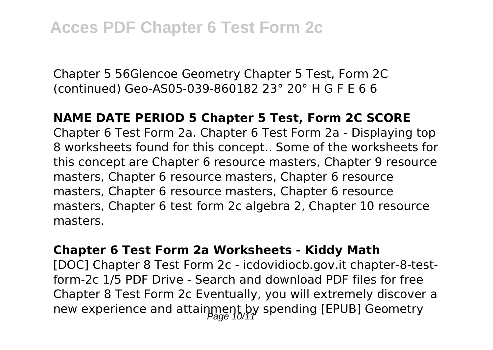Chapter 5 56Glencoe Geometry Chapter 5 Test, Form 2C (continued) Geo-AS05-039-860182 23° 20° H G F E 6 6

#### **NAME DATE PERIOD 5 Chapter 5 Test, Form 2C SCORE**

Chapter 6 Test Form 2a. Chapter 6 Test Form 2a - Displaying top 8 worksheets found for this concept.. Some of the worksheets for this concept are Chapter 6 resource masters, Chapter 9 resource masters, Chapter 6 resource masters, Chapter 6 resource masters, Chapter 6 resource masters, Chapter 6 resource masters, Chapter 6 test form 2c algebra 2, Chapter 10 resource masters.

#### **Chapter 6 Test Form 2a Worksheets - Kiddy Math**

[DOC] Chapter 8 Test Form 2c - icdovidiocb.gov.it chapter-8-testform-2c 1/5 PDF Drive - Search and download PDF files for free Chapter 8 Test Form 2c Eventually, you will extremely discover a new experience and attainment by spending [EPUB] Geometry